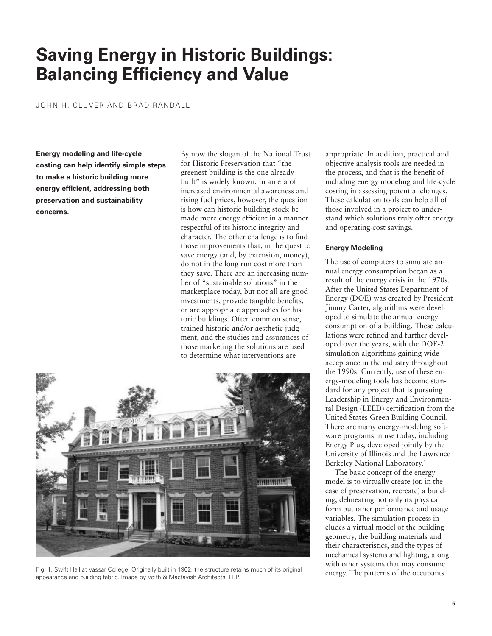# **Saving Energy in Historic Buildings: Balancing Efficiency and Value**

JOHN H. CLUVER AND BRAD RANDALL

**Energy modeling and life-cycle costing can help identify simple steps to make a historic building more energy efficient, addressing both preservation and sustainability concerns.**

By now the slogan of the National Trust for Historic Preservation that "the greenest building is the one already built" is widely known. In an era of increased environmental awareness and rising fuel prices, however, the question is how can historic building stock be made more energy efficient in a manner respectful of its historic integrity and character. The other challenge is to find those improvements that, in the quest to save energy (and, by extension, money), do not in the long run cost more than they save. There are an increasing number of "sustainable solutions" in the marketplace today, but not all are good investments, provide tangible benefits, or are appropriate approaches for historic buildings. Often common sense, trained historic and/or aesthetic judgment, and the studies and assurances of those marketing the solutions are used to determine what interventions are



Fig. 1. Swift Hall at Vassar College. Originally built in 1902, the structure retains much of its original appearance and building fabric. Image by Voith & Mactavish Architects, LLP.

appropriate. In addition, practical and objective analysis tools are needed in the process, and that is the benefit of including energy modeling and life-cycle costing in assessing potential changes. These calculation tools can help all of those involved in a project to understand which solutions truly offer energy and operating-cost savings.

## **Energy Modeling**

The use of computers to simulate annual energy consumption began as a result of the energy crisis in the 1970s. After the United States Department of Energy (DOE) was created by President Jimmy Carter, algorithms were developed to simulate the annual energy consumption of a building. These calculations were refined and further developed over the years, with the DOE-2 simulation algorithms gaining wide acceptance in the industry throughout the 1990s. Currently, use of these energy-modeling tools has become standard for any project that is pursuing Leadership in Energy and Environmental Design (LEED) certification from the United States Green Building Council. There are many energy-modeling software programs in use today, including Energy Plus, developed jointly by the University of Illinois and the Lawrence Berkeley National Laboratory.1

The basic concept of the energy model is to virtually create (or, in the case of preservation, recreate) a building, delineating not only its physical form but other performance and usage variables. The simulation process includes a virtual model of the building geometry, the building materials and their characteristics, and the types of mechanical systems and lighting, along with other systems that may consume energy. The patterns of the occupants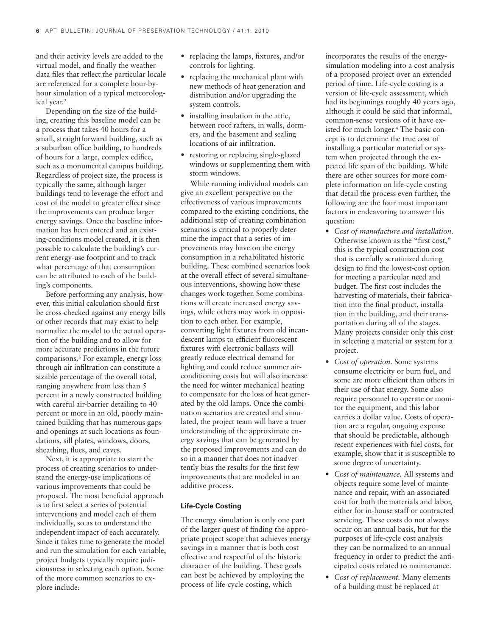and their activity levels are added to the virtual model, and finally the weatherdata files that reflect the particular locale are referenced for a complete hour-byhour simulation of a typical meteorological year.2

Depending on the size of the building, creating this baseline model can be a process that takes 40 hours for a small, straightforward building, such as a suburban office building, to hundreds of hours for a large, complex edifice, such as a monumental campus building. Regardless of project size, the process is typically the same, although larger buildings tend to leverage the effort and cost of the model to greater effect since the improvements can produce larger energy savings. Once the baseline information has been entered and an existing-conditions model created, it is then possible to calculate the building's current energy-use footprint and to track what percentage of that consumption can be attributed to each of the building's components.

Before performing any analysis, however, this initial calculation should first be cross-checked against any energy bills or other records that may exist to help normalize the model to the actual operation of the building and to allow for more accurate predictions in the future comparisons.3 For example, energy loss through air infiltration can constitute a sizable percentage of the overall total, ranging anywhere from less than 5 percent in a newly constructed building with careful air-barrier detailing to 40 percent or more in an old, poorly maintained building that has numerous gaps and openings at such locations as foundations, sill plates, windows, doors, sheathing, flues, and eaves.

Next, it is appropriate to start the process of creating scenarios to understand the energy-use implications of various improvements that could be proposed. The most beneficial approach is to first select a series of potential interventions and model each of them individually, so as to understand the independent impact of each accurately. Since it takes time to generate the model and run the simulation for each variable, project budgets typically require judiciousness in selecting each option. Some of the more common scenarios to explore include:

- replacing the lamps, fixtures, and/or controls for lighting.
- replacing the mechanical plant with new methods of heat generation and distribution and/or upgrading the system controls.
- installing insulation in the attic, between roof rafters, in walls, dormers, and the basement and sealing locations of air infiltration.
- restoring or replacing single-glazed windows or supplementing them with storm windows.

While running individual models can give an excellent perspective on the effectiveness of various improvements compared to the existing conditions, the additional step of creating combination scenarios is critical to properly determine the impact that a series of improvements may have on the energy consumption in a rehabilitated historic building. These combined scenarios look at the overall effect of several simultaneous interventions, showing how these changes work together. Some combinations will create increased energy savings, while others may work in opposition to each other. For example, converting light fixtures from old incandescent lamps to efficient fluorescent fixtures with electronic ballasts will greatly reduce electrical demand for lighting and could reduce summer airconditioning costs but will also increase the need for winter mechanical heating to compensate for the loss of heat generated by the old lamps. Once the combination scenarios are created and simulated, the project team will have a truer understanding of the approximate energy savings that can be generated by the proposed improvements and can do so in a manner that does not inadvertently bias the results for the first few improvements that are modeled in an additive process.

#### **Life-Cycle Costing**

The energy simulation is only one part of the larger quest of finding the appropriate project scope that achieves energy savings in a manner that is both cost effective and respectful of the historic character of the building. These goals can best be achieved by employing the process of life-cycle costing, which

incorporates the results of the energysimulation modeling into a cost analysis of a proposed project over an extended period of time. Life-cycle costing is a version of life-cycle assessment, which had its beginnings roughly 40 years ago, although it could be said that informal, common-sense versions of it have existed for much longer.4 The basic concept is to determine the true cost of installing a particular material or system when projected through the expected life span of the building. While there are other sources for more complete information on life-cycle costing that detail the process even further, the following are the four most important factors in endeavoring to answer this question:

- *Cost of manufacture and installation.* Otherwise known as the "first cost," this is the typical construction cost that is carefully scrutinized during design to find the lowest-cost option for meeting a particular need and budget. The first cost includes the harvesting of materials, their fabrication into the final product, installation in the building, and their transportation during all of the stages. Many projects consider only this cost in selecting a material or system for a project.
- *Cost of operation.* Some systems consume electricity or burn fuel, and some are more efficient than others in their use of that energy. Some also require personnel to operate or monitor the equipment, and this labor carries a dollar value. Costs of operation are a regular, ongoing expense that should be predictable, although recent experiences with fuel costs, for example, show that it is susceptible to some degree of uncertainty.
- *Cost of maintenance.* All systems and objects require some level of maintenance and repair, with an associated cost for both the materials and labor, either for in-house staff or contracted servicing. These costs do not always occur on an annual basis, but for the purposes of life-cycle cost analysis they can be normalized to an annual frequency in order to predict the anticipated costs related to maintenance.
- *Cost of replacement.* Many elements of a building must be replaced at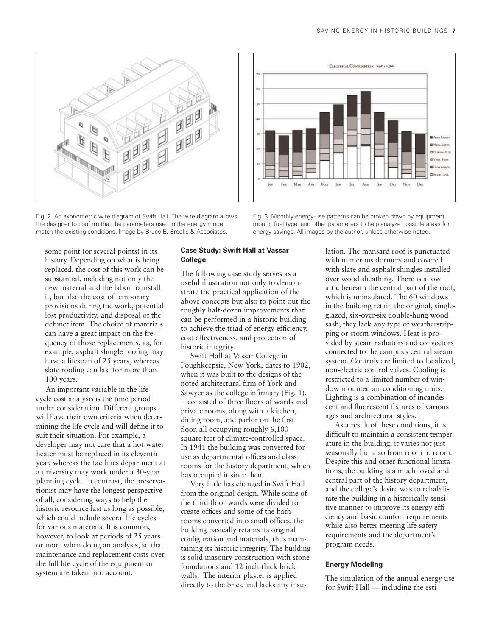

Fig. 2. An axonometric wire diagram of Swift Hall. The wire diagram allows the designer to confirm that the parameters used in the energy model match the existing conditions. Image by Bruce E. Brooks & Associates.

ELECTRICAL CONSUMPTION (MMh.x 1,000) 94 **Bitima License** Mac East **CIPOLOGY ACK B** Vist, Fass **Billion** service **Offices** Coord  $\rm Frn$ Max Ars May Jun Jos. Ave  $\delta \alpha$  $Ocr$ Nov

Fig. 3. Monthly energy-use patterns can be broken down by equipment, month, fuel type, and other parameters to help analyze possible areas for energy savings. All images by the author, unless otherwise noted.

some point (or several points) in its history. Depending on what is being replaced, the cost of this work can be substantial, including not only the new material and the labor to install it, but also the cost of temporary provisions during the work, potential lost productivity, and disposal of the defunct item. The choice of materials can have a great impact on the frequency of those replacements, as, for example, asphalt shingle roofing may have a lifespan of 25 years, whereas slate roofing can last for more than 100 years.

An important variable in the lifecycle cost analysis is the time period under consideration. Different groups will have their own criteria when determining the life cycle and will define it to suit their situation. For example, a developer may not care that a hot-water heater must be replaced in its eleventh year, whereas the facilities department at a university may work under a 30-year planning cycle. In contrast, the preservationist may have the longest perspective of all, considering ways to help the historic resource last as long as possible, which could include several life cycles for various materials. It is common, however, to look at periods of 25 years or more when doing an analysis, so that maintenance and replacement costs over the full life cycle of the equipment or system are taken into account.

# **Case Study: Swift Hall at Vassar College**

The following case study serves as a useful illustration not only to demonstrate the practical application of the above concepts but also to point out the roughly half-dozen improvements that can be performed in a historic building to achieve the triad of energy efficiency, cost effectiveness, and protection of historic integrity.

Swift Hall at Vassar College in Poughkeepsie, New York, dates to 1902, when it was built to the designs of the noted architectural firm of York and Sawyer as the college infirmary (Fig. 1). It consisted of three floors of wards and private rooms, along with a kitchen, dining room, and parlor on the first floor, all occupying roughly 6,100 square feet of climate-controlled space. In 1941 the building was converted for use as departmental offices and classrooms for the history department, which has occupied it since then.

Very little has changed in Swift Hall from the original design. While some of the third-floor wards were divided to create offices and some of the bathrooms converted into small offices, the building basically retains its original configuration and materials, thus maintaining its historic integrity. The building is solid masonry construction with stone foundations and 12-inch-thick brick walls. The interior plaster is applied directly to the brick and lacks any insu-

lation. The mansard roof is punctuated with numerous dormers and covered with slate and asphalt shingles installed over wood sheathing. There is a low attic beneath the central part of the roof, which is uninsulated. The 60 windows in the building retain the original, singleglazed, six-over-six double-hung wood sash; they lack any type of weatherstripping or storm windows. Heat is provided by steam radiators and convectors connected to the campus's central steam system. Controls are limited to localized, non-electric control valves. Cooling is restricted to a limited number of window-mounted air-conditioning units. Lighting is a combination of incandescent and fluorescent fixtures of various ages and architectural styles.

As a result of these conditions, it is difficult to maintain a consistent temperature in the building; it varies not just seasonally but also from room to room. Despite this and other functional limitations, the building is a much-loved and central part of the history department, and the college's desire was to rehabilitate the building in a historically sensitive manner to improve its energy efficiency and basic comfort requirements while also better meeting life-safety requirements and the department's program needs.

# **Energy Modeling**

The simulation of the annual energy use for Swift Hall — including the esti-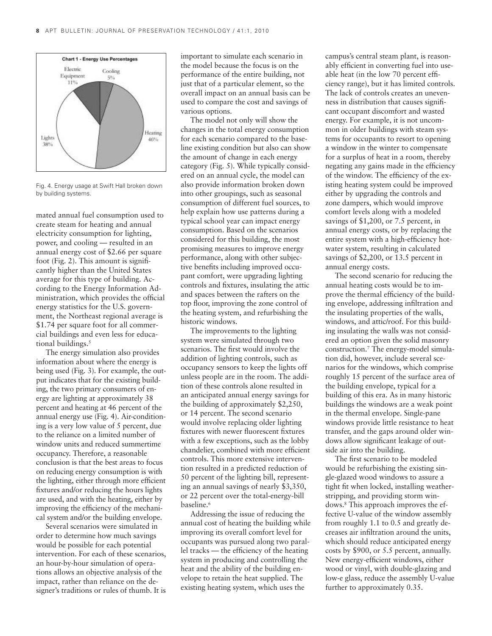

Fig. 4. Energy usage at Swift Hall broken down by building systems.

mated annual fuel consumption used to create steam for heating and annual electricity consumption for lighting, power, and cooling — resulted in an annual energy cost of \$2.66 per square foot (Fig. 2). This amount is significantly higher than the United States average for this type of building. According to the Energy Information Administration, which provides the official energy statistics for the U.S. government, the Northeast regional average is \$1.74 per square foot for all commercial buildings and even less for educational buildings.<sup>5</sup>

The energy simulation also provides information about where the energy is being used (Fig. 3). For example, the output indicates that for the existing building, the two primary consumers of energy are lighting at approximately 38 percent and heating at 46 percent of the annual energy use (Fig. 4). Air-conditioning is a very low value of 5 percent, due to the reliance on a limited number of window units and reduced summertime occupancy. Therefore, a reasonable conclusion is that the best areas to focus on reducing energy consumption is with the lighting, either through more efficient fixtures and/or reducing the hours lights are used, and with the heating, either by improving the efficiency of the mechanical system and/or the building envelope.

Several scenarios were simulated in order to determine how much savings would be possible for each potential intervention. For each of these scenarios, an hour-by-hour simulation of operations allows an objective analysis of the impact, rather than reliance on the designer's traditions or rules of thumb. It is

important to simulate each scenario in the model because the focus is on the performance of the entire building, not just that of a particular element, so the overall impact on an annual basis can be used to compare the cost and savings of various options.

The model not only will show the changes in the total energy consumption for each scenario compared to the baseline existing condition but also can show the amount of change in each energy category (Fig. 5). While typically considered on an annual cycle, the model can also provide information broken down into other groupings, such as seasonal consumption of different fuel sources, to help explain how use patterns during a typical school year can impact energy consumption. Based on the scenarios considered for this building, the most promising measures to improve energy performance, along with other subjective benefits including improved occupant comfort, were upgrading lighting controls and fixtures, insulating the attic and spaces between the rafters on the top floor, improving the zone control of the heating system, and refurbishing the historic windows.

The improvements to the lighting system were simulated through two scenarios. The first would involve the addition of lighting controls, such as occupancy sensors to keep the lights off unless people are in the room. The addition of these controls alone resulted in an anticipated annual energy savings for the building of approximately \$2,250, or 14 percent. The second scenario would involve replacing older lighting fixtures with newer fluorescent fixtures with a few exceptions, such as the lobby chandelier, combined with more efficient controls. This more extensive intervention resulted in a predicted reduction of 50 percent of the lighting bill, representing an annual savings of nearly \$3,350, or 22 percent over the total-energy-bill baseline.<sup>6</sup>

Addressing the issue of reducing the annual cost of heating the building while improving its overall comfort level for occupants was pursued along two parallel tracks — the efficiency of the heating system in producing and controlling the heat and the ability of the building envelope to retain the heat supplied. The existing heating system, which uses the

campus's central steam plant, is reasonably efficient in converting fuel into useable heat (in the low 70 percent efficiency range), but it has limited controls. The lack of controls creates an unevenness in distribution that causes significant occupant discomfort and wasted energy. For example, it is not uncommon in older buildings with steam systems for occupants to resort to opening a window in the winter to compensate for a surplus of heat in a room, thereby negating any gains made in the efficiency of the window. The efficiency of the existing heating system could be improved either by upgrading the controls and zone dampers, which would improve comfort levels along with a modeled savings of \$1,200, or 7.5 percent, in annual energy costs, or by replacing the entire system with a high-efficiency hotwater system, resulting in calculated savings of \$2,200, or 13.5 percent in annual energy costs.

The second scenario for reducing the annual heating costs would be to improve the thermal efficiency of the building envelope, addressing infiltration and the insulating properties of the walls, windows, and attic/roof. For this building insulating the walls was not considered an option given the solid masonry construction.7 The energy-model simulation did, however, include several scenarios for the windows, which comprise roughly 15 percent of the surface area of the building envelope, typical for a building of this era. As in many historic buildings the windows are a weak point in the thermal envelope. Single-pane windows provide little resistance to heat transfer, and the gaps around older windows allow significant leakage of outside air into the building.

The first scenario to be modeled would be refurbishing the existing single-glazed wood windows to assure a tight fit when locked, installing weatherstripping, and providing storm windows.8 This approach improves the effective U-value of the window assembly from roughly 1.1 to 0.5 and greatly decreases air infiltration around the units, which should reduce anticipated energy costs by \$900, or 5.5 percent, annually. New energy-efficient windows, either wood or vinyl, with double-glazing and low-e glass, reduce the assembly U-value further to approximately 0.35.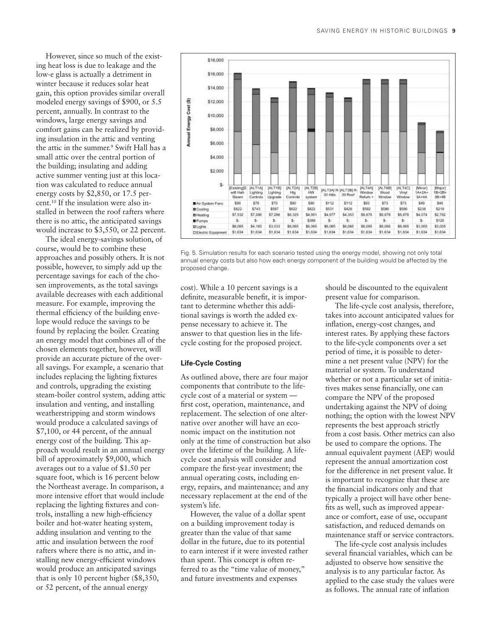However, since so much of the existing heat loss is due to leakage and the low-e glass is actually a detriment in winter because it reduces solar heat gain, this option provides similar overall modeled energy savings of \$900, or 5.5 percent, annually. In contrast to the windows, large energy savings and comfort gains can be realized by providing insulation in the attic and venting the attic in the summer.<sup>9</sup> Swift Hall has a small attic over the central portion of the building; insulating and adding active summer venting just at this location was calculated to reduce annual energy costs by \$2,850, or 17.5 percent.10 If the insulation were also installed in between the roof rafters where there is no attic, the anticipated savings would increase to \$3,550, or 22 percent.

The ideal energy-savings solution, of course, would be to combine these approaches and possibly others. It is not possible, however, to simply add up the percentage savings for each of the chosen improvements, as the total savings available decreases with each additional measure. For example, improving the thermal efficiency of the building envelope would reduce the savings to be found by replacing the boiler. Creating an energy model that combines all of the chosen elements together, however, will provide an accurate picture of the overall savings. For example, a scenario that includes replacing the lighting fixtures and controls, upgrading the existing steam-boiler control system, adding attic insulation and venting, and installing weatherstripping and storm windows would produce a calculated savings of \$7,100, or 44 percent, of the annual energy cost of the building. This approach would result in an annual energy bill of approximately \$9,000, which averages out to a value of \$1.50 per square foot, which is 16 percent below the Northeast average. In comparison, a more intensive effort that would include replacing the lighting fixtures and controls, installing a new high-efficiency boiler and hot-water heating system, adding insulation and venting to the attic and insulation between the roof rafters where there is no attic, and installing new energy-efficient windows would produce an anticipated savings that is only 10 percent higher (\$8,350, or 52 percent, of the annual energy



Fig. 5. Simulation results for each scenario tested using the energy model, showing not only total annual energy costs but also how each energy component of the building would be affected by the proposed change.

cost). While a 10 percent savings is a definite, measurable benefit, it is important to determine whether this additional savings is worth the added expense necessary to achieve it. The answer to that question lies in the lifecycle costing for the proposed project.

#### **Life-Cycle Costing**

As outlined above, there are four major components that contribute to the lifecycle cost of a material or system first cost, operation, maintenance, and replacement. The selection of one alternative over another will have an economic impact on the institution not only at the time of construction but also over the lifetime of the building. A lifecycle cost analysis will consider and compare the first-year investment; the annual operating costs, including energy, repairs, and maintenance; and any necessary replacement at the end of the system's life.

However, the value of a dollar spent on a building improvement today is greater than the value of that same dollar in the future, due to its potential to earn interest if it were invested rather than spent. This concept is often referred to as the "time value of money," and future investments and expenses

should be discounted to the equivalent present value for comparison.

The life-cycle cost analysis, therefore, takes into account anticipated values for inflation, energy-cost changes, and interest rates. By applying these factors to the life-cycle components over a set period of time, it is possible to determine a net present value (NPV) for the material or system. To understand whether or not a particular set of initiatives makes sense financially, one can compare the NPV of the proposed undertaking against the NPV of doing nothing; the option with the lowest NPV represents the best approach strictly from a cost basis. Other metrics can also be used to compare the options. The annual equivalent payment (AEP) would represent the annual amortization cost for the difference in net present value. It is important to recognize that these are the financial indicators only and that typically a project will have other benefits as well, such as improved appearance or comfort, ease of use, occupant satisfaction, and reduced demands on maintenance staff or service contractors.

The life-cycle cost analysis includes several financial variables, which can be adjusted to observe how sensitive the analysis is to any particular factor. As applied to the case study the values were as follows. The annual rate of inflation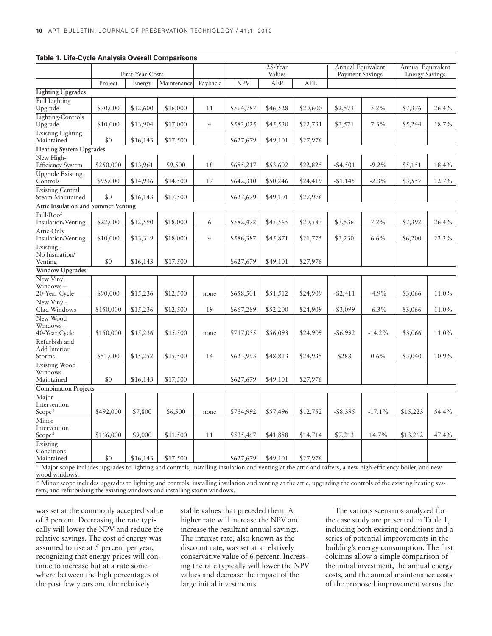| Table T. Life-Cycle Analysis Overall Comparisons |                  |          |             |                |                   |          |            |                                      |              |                                            |          |
|--------------------------------------------------|------------------|----------|-------------|----------------|-------------------|----------|------------|--------------------------------------|--------------|--------------------------------------------|----------|
|                                                  | First-Year Costs |          |             |                | 25-Year<br>Values |          |            | Annual Equivalent<br>Payment Savings |              | Annual Equivalent<br><b>Energy Savings</b> |          |
|                                                  | Project          | Energy   | Maintenance | Payback        | <b>NPV</b>        | AEP      | <b>AEE</b> |                                      |              |                                            |          |
| <b>Lighting Upgrades</b>                         |                  |          |             |                |                   |          |            |                                      |              |                                            |          |
| <b>Full Lighting</b><br>Upgrade                  | \$70,000         | \$12,600 | \$16,000    | 11             | \$594,787         | \$46,528 | \$20,600   | \$2,573                              | 5.2%         | \$7,376                                    | 26.4%    |
| Lighting-Controls<br>Upgrade                     | \$10,000         | \$13,904 | \$17,000    | $\overline{4}$ | \$582,025         | \$45,530 | \$22,731   | \$3,571                              | 7.3%         | \$5,244                                    | 18.7%    |
| <b>Existing Lighting</b><br>Maintained           | \$0              | \$16,143 | \$17,500    |                | \$627,679         | \$49,101 | \$27,976   |                                      |              |                                            |          |
| <b>Heating System Upgrades</b>                   |                  |          |             |                |                   |          |            |                                      |              |                                            |          |
| New High-<br><b>Efficiency System</b>            | \$250,000        | \$13,961 | \$9,500     | 18             | \$685,217         | \$53,602 | \$22,825   | $-$4,501$                            | $-9.2\%$     | \$5,151                                    | 18.4%    |
| <b>Upgrade Existing</b><br>Controls              | \$95,000         | \$14,936 | \$14,500    | 17             | \$642,310         | \$50,246 | \$24,419   | $-$1,145$                            | $-2.3\%$     | \$3,557                                    | 12.7%    |
| <b>Existing Central</b><br>Steam Maintained      | \$0              | \$16,143 | \$17,500    |                | \$627,679         | \$49,101 | \$27,976   |                                      |              |                                            |          |
| <b>Attic Insulation and Summer Venting</b>       |                  |          |             |                |                   |          |            |                                      |              |                                            |          |
| Full-Roof<br><b>Insulation/Venting</b>           | \$22,000         | \$12,590 | \$18,000    | 6              | \$582,472         | \$45,565 | \$20,583   | \$3,536                              | 7.2%         | \$7,392                                    | 26.4%    |
| Attic-Only<br>Insulation/Venting                 | \$10,000         | \$13,319 | \$18,000    | $\overline{4}$ | \$586,387         | \$45,871 | \$21,775   | \$3,230                              | $6.6\%$      | \$6,200                                    | 22.2%    |
| Existing -<br>No Insulation/<br>Venting          | \$0              | \$16,143 | \$17,500    |                | \$627,679         | \$49,101 | \$27,976   |                                      |              |                                            |          |
| <b>Window Upgrades</b>                           |                  |          |             |                |                   |          |            |                                      |              |                                            |          |
| New Vinyl<br>Windows-<br>20-Year Cycle           | \$90,000         | \$15,236 | \$12,500    | none           | \$658,501         | \$51,512 | \$24,909   | $-$ \$2,411                          | $-4.9%$      | \$3,066                                    | $11.0\%$ |
| New Vinyl-<br>Clad Windows                       | \$150,000        | \$15,236 | \$12,500    | 19             | \$667,289         | \$52,200 | \$24,909   | $-$3,099$                            | $-6.3\%$     | \$3,066                                    | 11.0%    |
| New Wood<br>Windows -<br>40-Year Cycle           | \$150,000        | \$15,236 | \$15,500    | none           | \$717,055         | \$56,093 | \$24,909   | $-$ \$6,992                          | $-14.2%$     | \$3,066                                    | 11.0%    |
| Refurbish and<br>Add Interior<br>Storms          | \$51,000         | \$15,252 | \$15,500    | 14             | \$623,993         | \$48,813 | \$24,935   | \$288                                | 0.6%         | \$3,040                                    | 10.9%    |
| <b>Existing Wood</b><br>Windows<br>Maintained    | \$0              | \$16,143 | \$17,500    |                | \$627,679         | \$49,101 | \$27,976   |                                      |              |                                            |          |
| <b>Combination Projects</b>                      |                  |          |             |                |                   |          |            |                                      |              |                                            |          |
| Major<br>Intervention                            |                  |          |             |                |                   |          |            |                                      |              |                                            |          |
| Scope*                                           | \$492,000        | \$7,800  | \$6,500     | none           | \$734,992         | \$57,496 | \$12,752   | $-$ \$8,395                          | $-17.1%$     | \$15,223                                   | 54.4%    |
| Minor<br>Intervention<br>Scope*                  | \$166,000        | \$9,000  | \$11,500    | 11             | \$535,467         | \$41,888 | \$14,714   | \$7,213                              | 14.7%        | \$13,262                                   | 47.4%    |
| Existing<br>Conditions<br>Maintained             | \$0              | \$16,143 | \$17,500    |                | \$627,679         | \$49,101 | \$27,976   |                                      |              |                                            |          |
| $1 - 3 - 6 = 1$                                  |                  |          |             | 11.1           |                   |          |            |                                      | $1.1$ $1.00$ | $1 - 11$                                   |          |

**Table 1. Life-Cycle Analysis Overall Comparisons**

Major scope includes upgrades to lighting and controls, installing insulation and venting at the attic and rafters, a new high-efficiency boiler, and new wood windows.

\* Minor scope includes upgrades to lighting and controls, installing insulation and venting at the attic, upgrading the controls of the existing heating system, and refurbishing the existing windows and installing storm windows.

was set at the commonly accepted value of 3 percent. Decreasing the rate typically will lower the NPV and reduce the relative savings. The cost of energy was assumed to rise at 5 percent per year, recognizing that energy prices will continue to increase but at a rate somewhere between the high percentages of the past few years and the relatively

stable values that preceded them. A higher rate will increase the NPV and increase the resultant annual savings. The interest rate, also known as the discount rate, was set at a relatively conservative value of 6 percent. Increasing the rate typically will lower the NPV values and decrease the impact of the large initial investments.

The various scenarios analyzed for the case study are presented in Table 1, including both existing conditions and a series of potential improvements in the building's energy consumption. The first columns allow a simple comparison of the initial investment, the annual energy costs, and the annual maintenance costs of the proposed improvement versus the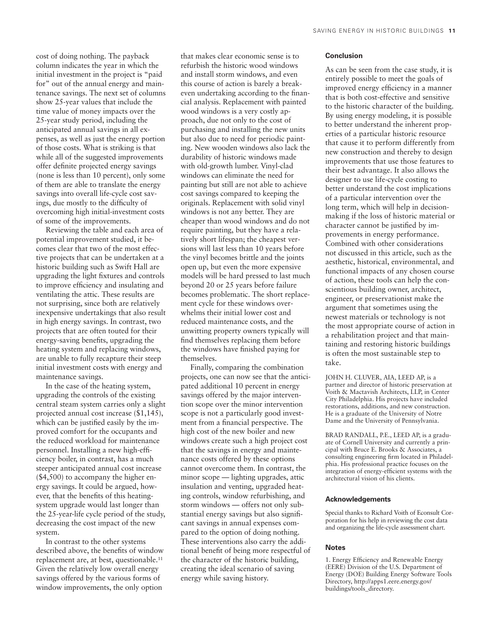cost of doing nothing. The payback column indicates the year in which the initial investment in the project is "paid for" out of the annual energy and maintenance savings. The next set of columns show 25-year values that include the time value of money impacts over the 25-year study period, including the anticipated annual savings in all expenses, as well as just the energy portion of those costs. What is striking is that while all of the suggested improvements offer definite projected energy savings (none is less than 10 percent), only some of them are able to translate the energy savings into overall life-cycle cost savings, due mostly to the difficulty of overcoming high initial-investment costs of some of the improvements.

Reviewing the table and each area of potential improvement studied, it becomes clear that two of the most effective projects that can be undertaken at a historic building such as Swift Hall are upgrading the light fixtures and controls to improve efficiency and insulating and ventilating the attic. These results are not surprising, since both are relatively inexpensive undertakings that also result in high energy savings. In contrast, two projects that are often touted for their energy-saving benefits, upgrading the heating system and replacing windows, are unable to fully recapture their steep initial investment costs with energy and maintenance savings.

In the case of the heating system, upgrading the controls of the existing central steam system carries only a slight projected annual cost increase (\$1,145), which can be justified easily by the improved comfort for the occupants and the reduced workload for maintenance personnel. Installing a new high-efficiency boiler, in contrast, has a much steeper anticipated annual cost increase (\$4,500) to accompany the higher energy savings. It could be argued, however, that the benefits of this heatingsystem upgrade would last longer than the 25-year-life cycle period of the study, decreasing the cost impact of the new system.

In contrast to the other systems described above, the benefits of window replacement are, at best, questionable.<sup>11</sup> Given the relatively low overall energy savings offered by the various forms of window improvements, the only option

that makes clear economic sense is to refurbish the historic wood windows and install storm windows, and even this course of action is barely a breakeven undertaking according to the financial analysis. Replacement with painted wood windows is a very costly approach, due not only to the cost of purchasing and installing the new units but also due to need for periodic painting. New wooden windows also lack the durability of historic windows made with old-growth lumber. Vinyl-clad windows can eliminate the need for painting but still are not able to achieve cost savings compared to keeping the originals. Replacement with solid vinyl windows is not any better. They are cheaper than wood windows and do not require painting, but they have a relatively short lifespan; the cheapest versions will last less than 10 years before the vinyl becomes brittle and the joints open up, but even the more expensive models will be hard pressed to last much beyond 20 or 25 years before failure becomes problematic. The short replacement cycle for these windows overwhelms their initial lower cost and reduced maintenance costs, and the unwitting property owners typically will find themselves replacing them before the windows have finished paying for themselves.

Finally, comparing the combination projects, one can now see that the anticipated additional 10 percent in energy savings offered by the major intervention scope over the minor intervention scope is not a particularly good investment from a financial perspective. The high cost of the new boiler and new windows create such a high project cost that the savings in energy and maintenance costs offered by these options cannot overcome them. In contrast, the minor scope — lighting upgrades, attic insulation and venting, upgraded heating controls, window refurbishing, and storm windows — offers not only substantial energy savings but also significant savings in annual expenses compared to the option of doing nothing. These interventions also carry the additional benefit of being more respectful of the character of the historic building, creating the ideal scenario of saving energy while saving history.

## **Conclusion**

As can be seen from the case study, it is entirely possible to meet the goals of improved energy efficiency in a manner that is both cost-effective and sensitive to the historic character of the building. By using energy modeling, it is possible to better understand the inherent properties of a particular historic resource that cause it to perform differently from new construction and thereby to design improvements that use those features to their best advantage. It also allows the designer to use life-cycle costing to better understand the cost implications of a particular intervention over the long term, which will help in decisionmaking if the loss of historic material or character cannot be justified by improvements in energy performance. Combined with other considerations not discussed in this article, such as the aesthetic, historical, environmental, and functional impacts of any chosen course of action, these tools can help the conscientious building owner, architect, engineer, or preservationist make the argument that sometimes using the newest materials or technology is not the most appropriate course of action in a rehabilitation project and that maintaining and restoring historic buildings is often the most sustainable step to take.

JOHN H. CLUVER, AIA, LEED AP, is a partner and director of historic preservation at Voith & Mactavish Architects, LLP, in Center City Philadelphia. His projects have included restorations, additions, and new construction. He is a graduate of the University of Notre Dame and the University of Pennsylvania.

BRAD RANDALL, P.E., LEED AP, is a graduate of Cornell University and currently a principal with Bruce E. Brooks & Associates, a consulting engineering firm located in Philadelphia. His professional practice focuses on the integration of energy-efficient systems with the architectural vision of his clients.

#### **Acknowledgements**

Special thanks to Richard Voith of Econsult Corporation for his help in reviewing the cost data and organizing the life-cycle assessment chart.

#### **Notes**

1. Energy Efficiency and Renewable Energy (EERE) Division of the U.S. Department of Energy (DOE) Building Energy Software Tools Directory, http://apps1.eere.energy.gov/ buildings/tools\_directory.